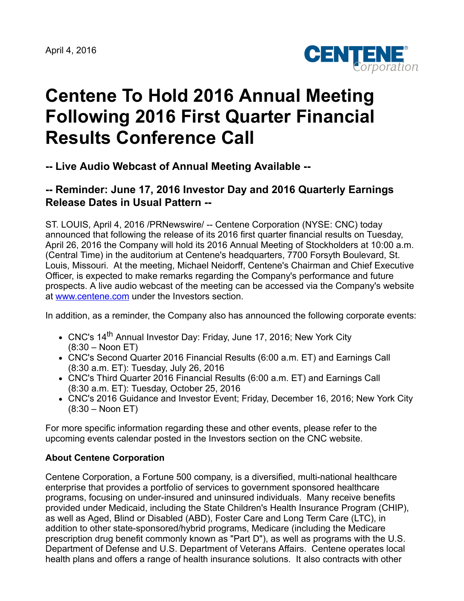

## **Centene To Hold 2016 Annual Meeting Following 2016 First Quarter Financial Results Conference Call**

**-- Live Audio Webcast of Annual Meeting Available --**

## **-- Reminder: June 17, 2016 Investor Day and 2016 Quarterly Earnings Release Dates in Usual Pattern --**

ST. LOUIS, April 4, 2016 /PRNewswire/ -- Centene Corporation (NYSE: CNC) today announced that following the release of its 2016 first quarter financial results on Tuesday, April 26, 2016 the Company will hold its 2016 Annual Meeting of Stockholders at 10:00 a.m. (Central Time) in the auditorium at Centene's headquarters, 7700 Forsyth Boulevard, St. Louis, Missouri. At the meeting, Michael Neidorff, Centene's Chairman and Chief Executive Officer, is expected to make remarks regarding the Company's performance and future prospects. A live audio webcast of the meeting can be accessed via the Company's website at [www.centene.com](http://www.centene.com/) under the Investors section.

In addition, as a reminder, the Company also has announced the following corporate events:

- CNC's 14<sup>th</sup> Annual Investor Day: Friday, June 17, 2016; New York City (8:30 – Noon ET)
- CNC's Second Quarter 2016 Financial Results (6:00 a.m. ET) and Earnings Call (8:30 a.m. ET): Tuesday, July 26, 2016
- CNC's Third Quarter 2016 Financial Results (6:00 a.m. ET) and Earnings Call (8:30 a.m. ET): Tuesday, October 25, 2016
- CNC's 2016 Guidance and Investor Event; Friday, December 16, 2016; New York City (8:30 – Noon ET)

For more specific information regarding these and other events, please refer to the upcoming events calendar posted in the Investors section on the CNC website.

## **About Centene Corporation**

Centene Corporation, a Fortune 500 company, is a diversified, multi-national healthcare enterprise that provides a portfolio of services to government sponsored healthcare programs, focusing on under-insured and uninsured individuals. Many receive benefits provided under Medicaid, including the State Children's Health Insurance Program (CHIP), as well as Aged, Blind or Disabled (ABD), Foster Care and Long Term Care (LTC), in addition to other state-sponsored/hybrid programs, Medicare (including the Medicare prescription drug benefit commonly known as "Part D"), as well as programs with the U.S. Department of Defense and U.S. Department of Veterans Affairs. Centene operates local health plans and offers a range of health insurance solutions. It also contracts with other